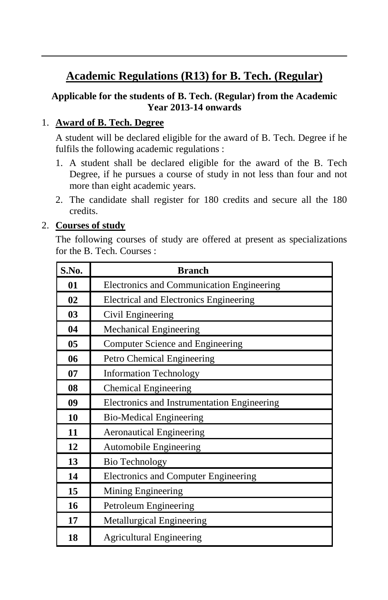### **Academic Regulations (R13) for B. Tech. (Regular)**

### **Applicable for the students of B. Tech. (Regular) from the Academic Year 2013-14 onwards**

### 1. **Award of B. Tech. Degree**

A student will be declared eligible for the award of B. Tech. Degree if he fulfils the following academic regulations :

- 1. A student shall be declared eligible for the award of the B. Tech Degree, if he pursues a course of study in not less than four and not more than eight academic years.
- 2. The candidate shall register for 180 credits and secure all the 180 credits.

### 2. **Courses of study**

The following courses of study are offered at present as specializations for the B. Tech. Courses :

| S.No. | <b>Branch</b>                               |  |
|-------|---------------------------------------------|--|
| 01    | Electronics and Communication Engineering   |  |
| 02    | Electrical and Electronics Engineering      |  |
| 03    | Civil Engineering                           |  |
| 04    | Mechanical Engineering                      |  |
| 05    | Computer Science and Engineering            |  |
| 06    | Petro Chemical Engineering                  |  |
| 07    | <b>Information Technology</b>               |  |
| 08    | <b>Chemical Engineering</b>                 |  |
| 09    | Electronics and Instrumentation Engineering |  |
| 10    | <b>Bio-Medical Engineering</b>              |  |
| 11    | <b>Aeronautical Engineering</b>             |  |
| 12    | Automobile Engineering                      |  |
| 13    | <b>Bio Technology</b>                       |  |
| 14    | <b>Electronics and Computer Engineering</b> |  |
| 15    | Mining Engineering                          |  |
| 16    | Petroleum Engineering                       |  |
| 17    | Metallurgical Engineering                   |  |
| 18    | <b>Agricultural Engineering</b>             |  |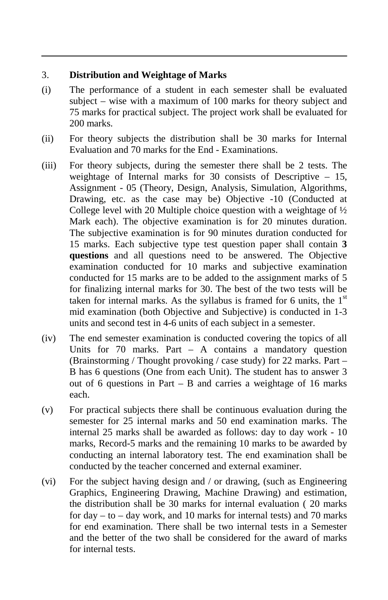#### 3. **Distribution and Weightage of Marks**

- (i) The performance of a student in each semester shall be evaluated subject – wise with a maximum of 100 marks for theory subject and 75 marks for practical subject. The project work shall be evaluated for 200 marks.
- (ii) For theory subjects the distribution shall be 30 marks for Internal Evaluation and 70 marks for the End - Examinations.
- (iii) For theory subjects, during the semester there shall be 2 tests. The weightage of Internal marks for 30 consists of Descriptive – 15, Assignment - 05 (Theory, Design, Analysis, Simulation, Algorithms, Drawing, etc. as the case may be) Objective -10 (Conducted at College level with 20 Multiple choice question with a weightage of  $\frac{1}{2}$ Mark each). The objective examination is for 20 minutes duration. The subjective examination is for 90 minutes duration conducted for 15 marks. Each subjective type test question paper shall contain **3 questions** and all questions need to be answered. The Objective examination conducted for 10 marks and subjective examination conducted for 15 marks are to be added to the assignment marks of 5 for finalizing internal marks for 30. The best of the two tests will be taken for internal marks. As the syllabus is framed for 6 units, the  $1<sup>st</sup>$ mid examination (both Objective and Subjective) is conducted in 1-3 units and second test in 4-6 units of each subject in a semester.
- (iv) The end semester examination is conducted covering the topics of all Units for 70 marks. Part – A contains a mandatory question (Brainstorming / Thought provoking / case study) for 22 marks. Part – B has 6 questions (One from each Unit). The student has to answer 3 out of 6 questions in Part – B and carries a weightage of 16 marks each.
- (v) For practical subjects there shall be continuous evaluation during the semester for 25 internal marks and 50 end examination marks. The internal 25 marks shall be awarded as follows: day to day work - 10 marks, Record-5 marks and the remaining 10 marks to be awarded by conducting an internal laboratory test. The end examination shall be conducted by the teacher concerned and external examiner.
- (vi) For the subject having design and / or drawing, (such as Engineering Graphics, Engineering Drawing, Machine Drawing) and estimation, the distribution shall be 30 marks for internal evaluation ( 20 marks for  $day - to - day$  work, and 10 marks for internal tests) and 70 marks for end examination. There shall be two internal tests in a Semester and the better of the two shall be considered for the award of marks for internal tests.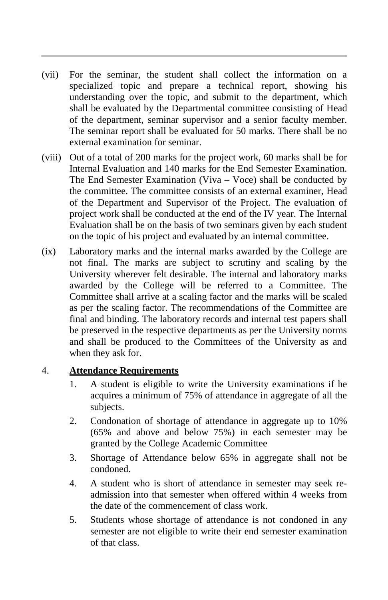- (vii) For the seminar, the student shall collect the information on a specialized topic and prepare a technical report, showing his understanding over the topic, and submit to the department, which shall be evaluated by the Departmental committee consisting of Head of the department, seminar supervisor and a senior faculty member. The seminar report shall be evaluated for 50 marks. There shall be no external examination for seminar.
- (viii) Out of a total of 200 marks for the project work, 60 marks shall be for Internal Evaluation and 140 marks for the End Semester Examination. The End Semester Examination (Viva – Voce) shall be conducted by the committee. The committee consists of an external examiner, Head of the Department and Supervisor of the Project. The evaluation of project work shall be conducted at the end of the IV year. The Internal Evaluation shall be on the basis of two seminars given by each student on the topic of his project and evaluated by an internal committee.
- (ix) Laboratory marks and the internal marks awarded by the College are not final. The marks are subject to scrutiny and scaling by the University wherever felt desirable. The internal and laboratory marks awarded by the College will be referred to a Committee. The Committee shall arrive at a scaling factor and the marks will be scaled as per the scaling factor. The recommendations of the Committee are final and binding. The laboratory records and internal test papers shall be preserved in the respective departments as per the University norms and shall be produced to the Committees of the University as and when they ask for.

#### 4. **Attendance Requirements**

- 1. A student is eligible to write the University examinations if he acquires a minimum of 75% of attendance in aggregate of all the subjects.
- 2. Condonation of shortage of attendance in aggregate up to 10% (65% and above and below 75%) in each semester may be granted by the College Academic Committee
- 3. Shortage of Attendance below 65% in aggregate shall not be condoned.
- 4. A student who is short of attendance in semester may seek readmission into that semester when offered within 4 weeks from the date of the commencement of class work.
- 5. Students whose shortage of attendance is not condoned in any semester are not eligible to write their end semester examination of that class.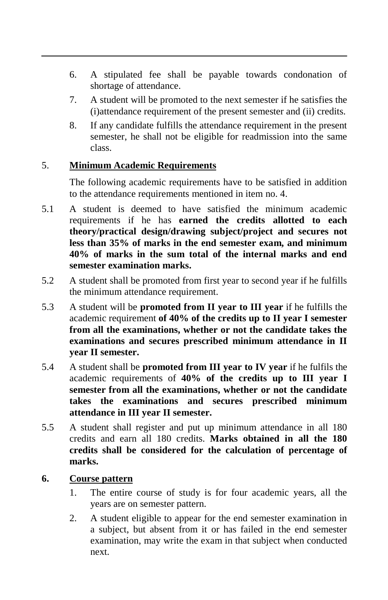- 6. A stipulated fee shall be payable towards condonation of shortage of attendance.
- 7. A student will be promoted to the next semester if he satisfies the (i)attendance requirement of the present semester and (ii) credits.
- 8. If any candidate fulfills the attendance requirement in the present semester, he shall not be eligible for readmission into the same class.

### 5. **Minimum Academic Requirements**

The following academic requirements have to be satisfied in addition to the attendance requirements mentioned in item no. 4.

- 5.1 A student is deemed to have satisfied the minimum academic requirements if he has **earned the credits allotted to each theory/practical design/drawing subject/project and secures not less than 35% of marks in the end semester exam, and minimum 40% of marks in the sum total of the internal marks and end semester examination marks.**
- 5.2 A student shall be promoted from first year to second year if he fulfills the minimum attendance requirement.
- 5.3 A student will be **promoted from II year to III year** if he fulfills the academic requirement **of 40% of the credits up to II year I semester from all the examinations, whether or not the candidate takes the examinations and secures prescribed minimum attendance in II year II semester.**
- 5.4 A student shall be **promoted from III year to IV year** if he fulfils the academic requirements of **40% of the credits up to III year I semester from all the examinations, whether or not the candidate takes the examinations and secures prescribed minimum attendance in III year II semester.**
- 5.5 A student shall register and put up minimum attendance in all 180 credits and earn all 180 credits. **Marks obtained in all the 180 credits shall be considered for the calculation of percentage of marks.**

#### **6. Course pattern**

- 1. The entire course of study is for four academic years, all the years are on semester pattern.
- 2. A student eligible to appear for the end semester examination in a subject, but absent from it or has failed in the end semester examination, may write the exam in that subject when conducted next.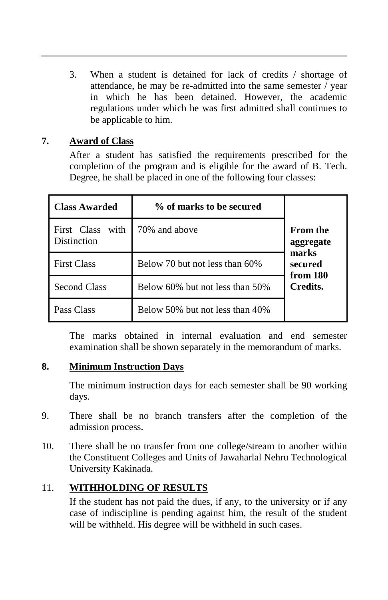3. When a student is detained for lack of credits / shortage of attendance, he may be re-admitted into the same semester / year in which he has been detained. However, the academic regulations under which he was first admitted shall continues to be applicable to him.

### **7. Award of Class**

After a student has satisfied the requirements prescribed for the completion of the program and is eligible for the award of B. Tech. Degree, he shall be placed in one of the following four classes:

| <b>Class Awarded</b>                      | % of marks to be secured        |                              |
|-------------------------------------------|---------------------------------|------------------------------|
| with<br>First Class<br><b>Distinction</b> | 70% and above                   | <b>From the</b><br>aggregate |
| <b>First Class</b>                        | Below 70 but not less than 60%  | marks<br>secured<br>from 180 |
| <b>Second Class</b>                       | Below 60% but not less than 50% | Credits.                     |
| Pass Class                                | Below 50% but not less than 40% |                              |

The marks obtained in internal evaluation and end semester examination shall be shown separately in the memorandum of marks.

#### **8. Minimum Instruction Days**

The minimum instruction days for each semester shall be 90 working days.

- 9. There shall be no branch transfers after the completion of the admission process.
- 10. There shall be no transfer from one college/stream to another within the Constituent Colleges and Units of Jawaharlal Nehru Technological University Kakinada.

### 11. **WITHHOLDING OF RESULTS**

If the student has not paid the dues, if any, to the university or if any case of indiscipline is pending against him, the result of the student will be withheld. His degree will be withheld in such cases.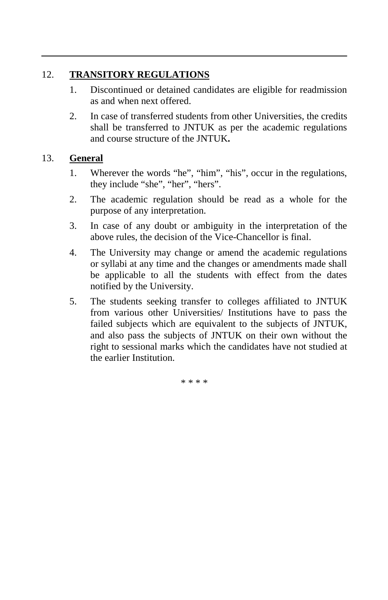### 12. **TRANSITORY REGULATIONS**

- 1. Discontinued or detained candidates are eligible for readmission as and when next offered.
- 2. In case of transferred students from other Universities, the credits shall be transferred to JNTUK as per the academic regulations and course structure of the JNTUK**.**

### 13. **General**

- 1. Wherever the words "he", "him", "his", occur in the regulations, they include "she", "her", "hers".
- 2. The academic regulation should be read as a whole for the purpose of any interpretation.
- 3. In case of any doubt or ambiguity in the interpretation of the above rules, the decision of the Vice-Chancellor is final.
- 4. The University may change or amend the academic regulations or syllabi at any time and the changes or amendments made shall be applicable to all the students with effect from the dates notified by the University.
- 5. The students seeking transfer to colleges affiliated to JNTUK from various other Universities/ Institutions have to pass the failed subjects which are equivalent to the subjects of JNTUK, and also pass the subjects of JNTUK on their own without the right to sessional marks which the candidates have not studied at the earlier Institution.

\* \* \* \*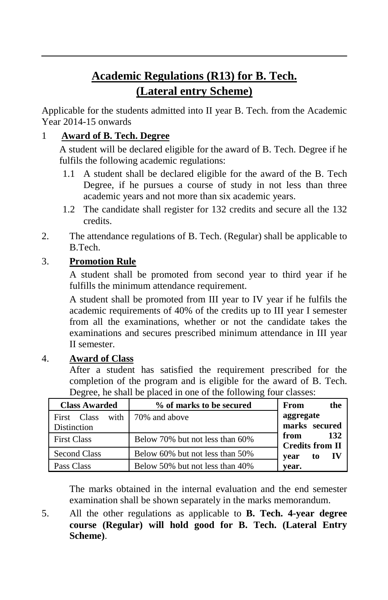# **Academic Regulations (R13) for B. Tech. (Lateral entry Scheme)**

Applicable for the students admitted into II year B. Tech. from the Academic Year 2014-15 onwards

### 1 **Award of B. Tech. Degree**

A student will be declared eligible for the award of B. Tech. Degree if he fulfils the following academic regulations:

- 1.1 A student shall be declared eligible for the award of the B. Tech Degree, if he pursues a course of study in not less than three academic years and not more than six academic years.
- 1.2 The candidate shall register for 132 credits and secure all the 132 credits.
- 2. The attendance regulations of B. Tech. (Regular) shall be applicable to B.Tech.

### 3. **Promotion Rule**

A student shall be promoted from second year to third year if he fulfills the minimum attendance requirement.

A student shall be promoted from III year to IV year if he fulfils the academic requirements of 40% of the credits up to III year I semester from all the examinations, whether or not the candidate takes the examinations and secures prescribed minimum attendance in III year II semester.

### 4. **Award of Class**

After a student has satisfied the requirement prescribed for the completion of the program and is eligible for the award of B. Tech. Degree, he shall be placed in one of the following four classes:

| <b>Class Awarded</b> | % of marks to be secured        | From<br>the                           |
|----------------------|---------------------------------|---------------------------------------|
| First Class          | with $\frac{1}{20\%}$ and above | aggregate                             |
| <b>Distinction</b>   |                                 | marks secured                         |
| <b>First Class</b>   | Below 70% but not less than 60% | 132<br>from<br><b>Credits from II</b> |
| <b>Second Class</b>  | Below 60% but not less than 50% | - IV<br>to<br>vear                    |
| Pass Class           | Below 50% but not less than 40% | vear.                                 |

The marks obtained in the internal evaluation and the end semester examination shall be shown separately in the marks memorandum.

5. All the other regulations as applicable to **B. Tech. 4-year degree course (Regular) will hold good for B. Tech. (Lateral Entry Scheme)**.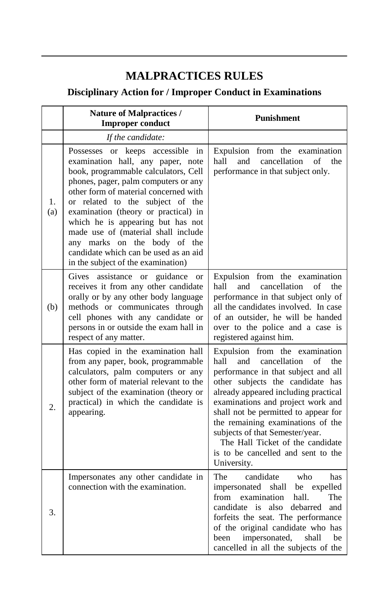### **MALPRACTICES RULES**

### **Disciplinary Action for / Improper Conduct in Examinations**

|           | Nature of Malpractices /<br><b>Improper conduct</b>                                                                                                                                                                                                                                                                                                                                                                                                                   | <b>Punishment</b>                                                                                                                                                                                                                                                                                                                                                                                                                           |
|-----------|-----------------------------------------------------------------------------------------------------------------------------------------------------------------------------------------------------------------------------------------------------------------------------------------------------------------------------------------------------------------------------------------------------------------------------------------------------------------------|---------------------------------------------------------------------------------------------------------------------------------------------------------------------------------------------------------------------------------------------------------------------------------------------------------------------------------------------------------------------------------------------------------------------------------------------|
|           | If the candidate:                                                                                                                                                                                                                                                                                                                                                                                                                                                     |                                                                                                                                                                                                                                                                                                                                                                                                                                             |
| 1.<br>(a) | Possesses or keeps accessible in<br>examination hall, any paper, note<br>book, programmable calculators, Cell<br>phones, pager, palm computers or any<br>other form of material concerned with<br>or related to the subject of the<br>examination (theory or practical) in<br>which he is appearing but has not<br>made use of (material shall include<br>any marks on the body of the<br>candidate which can be used as an aid<br>in the subject of the examination) | Expulsion from the examination<br>and<br>cancellation<br>the<br>hall<br>of<br>performance in that subject only.                                                                                                                                                                                                                                                                                                                             |
| (b)       | Gives<br>assistance or<br>guidance<br><b>or</b><br>receives it from any other candidate<br>orally or by any other body language<br>methods or communicates through<br>cell phones with any candidate or<br>persons in or outside the exam hall in<br>respect of any matter.                                                                                                                                                                                           | Expulsion from the examination<br>cancellation<br>hall<br>and<br>of<br>the<br>performance in that subject only of<br>all the candidates involved. In case<br>of an outsider, he will be handed<br>over to the police and a case is<br>registered against him.                                                                                                                                                                               |
| 2.        | Has copied in the examination hall<br>from any paper, book, programmable<br>calculators, palm computers or any<br>other form of material relevant to the<br>subject of the examination (theory or<br>practical) in which the candidate is<br>appearing.                                                                                                                                                                                                               | Expulsion from the examination<br>hall<br>cancellation<br>and<br>of<br>the<br>performance in that subject and all<br>other subjects the candidate has<br>already appeared including practical<br>examinations and project work and<br>shall not be permitted to appear for<br>the remaining examinations of the<br>subjects of that Semester/year.<br>The Hall Ticket of the candidate<br>is to be cancelled and sent to the<br>University. |
| 3.        | Impersonates any other candidate in<br>connection with the examination.                                                                                                                                                                                                                                                                                                                                                                                               | The<br>who<br>candidate<br>has<br>impersonated shall be expelled<br>from<br>examination<br>hall.<br>The<br>candidate is also debarred<br>and<br>forfeits the seat. The performance<br>of the original candidate who has<br>impersonated,<br>been<br>shall<br>be<br>cancelled in all the subjects of the                                                                                                                                     |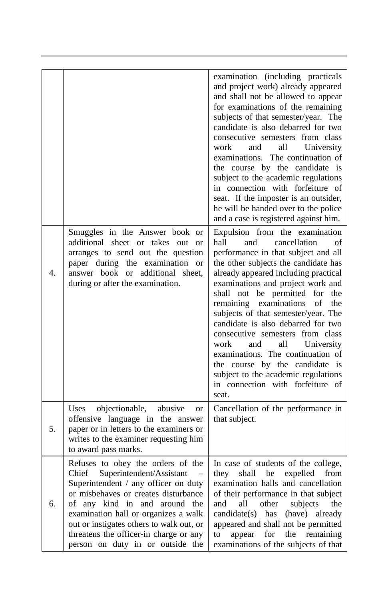|                  |                                                                                                                                                                                                                                                                                                                                                        | examination (including practicals<br>and project work) already appeared<br>and shall not be allowed to appear<br>for examinations of the remaining<br>subjects of that semester/year. The<br>candidate is also debarred for two<br>consecutive semesters from class<br>University<br>work<br>and<br>all<br>examinations. The continuation of<br>the course by the candidate is<br>subject to the academic regulations<br>in connection with forfeiture of<br>seat. If the imposter is an outsider,<br>he will be handed over to the police<br>and a case is registered against him.<br>Expulsion from the examination |
|------------------|--------------------------------------------------------------------------------------------------------------------------------------------------------------------------------------------------------------------------------------------------------------------------------------------------------------------------------------------------------|-----------------------------------------------------------------------------------------------------------------------------------------------------------------------------------------------------------------------------------------------------------------------------------------------------------------------------------------------------------------------------------------------------------------------------------------------------------------------------------------------------------------------------------------------------------------------------------------------------------------------|
| $\overline{4}$ . | Smuggles in the Answer book or<br>additional sheet or takes out<br>$\alpha$<br>arranges to send out the question<br>paper during the examination<br><b>or</b><br>answer book or additional sheet.<br>during or after the examination.                                                                                                                  | hall<br>cancellation<br>of<br>and<br>performance in that subject and all<br>the other subjects the candidate has<br>already appeared including practical<br>examinations and project work and<br>shall not be permitted for<br>the<br>remaining<br>examinations<br>of<br>the<br>subjects of that semester/year. The<br>candidate is also debarred for two<br>consecutive semesters from class<br>work<br>and<br>all<br>University<br>examinations. The continuation of<br>the course by the candidate is<br>subject to the academic regulations<br>in connection with forfeiture of<br>seat.                          |
| 5.               | objectionable,<br>abusive<br>Uses<br>or<br>offensive language in the answer<br>paper or in letters to the examiners or<br>writes to the examiner requesting him<br>to award pass marks.                                                                                                                                                                | Cancellation of the performance in<br>that subject.                                                                                                                                                                                                                                                                                                                                                                                                                                                                                                                                                                   |
| 6.               | Refuses to obey the orders of the<br>Chief Superintendent/Assistant<br>Superintendent / any officer on duty<br>or misbehaves or creates disturbance<br>of any kind in and around the<br>examination hall or organizes a walk<br>out or instigates others to walk out, or<br>threatens the officer-in charge or any<br>person on duty in or outside the | In case of students of the college,<br>they<br>shall<br>be expelled<br>from<br>examination halls and cancellation<br>of their performance in that subject<br>other<br>and<br>all<br>subjects<br>the<br>$candidate(s)$ has<br>(have)<br>already<br>appeared and shall not be permitted<br>appear<br>the<br>remaining<br>to<br>for<br>examinations of the subjects of that                                                                                                                                                                                                                                              |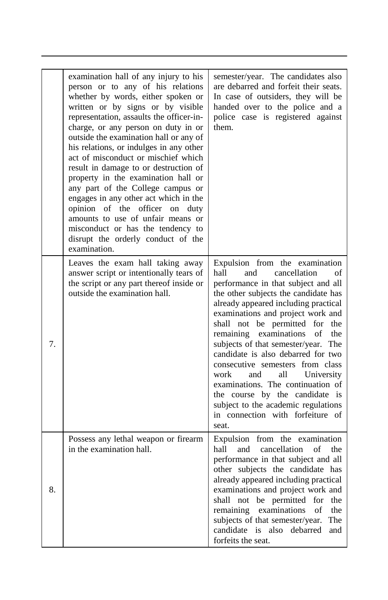|    | examination hall of any injury to his<br>person or to any of his relations<br>whether by words, either spoken or<br>written or by signs or by visible<br>representation, assaults the officer-in-<br>charge, or any person on duty in or<br>outside the examination hall or any of<br>his relations, or indulges in any other<br>act of misconduct or mischief which<br>result in damage to or destruction of<br>property in the examination hall or<br>any part of the College campus or<br>engages in any other act which in the<br>opinion of the officer on<br>duty<br>amounts to use of unfair means or<br>misconduct or has the tendency to | semester/year. The candidates also<br>are debarred and forfeit their seats.<br>In case of outsiders, they will be<br>handed over to the police and a<br>police case is registered against<br>them.                                                                                                                                                                                                                                                                                                                                                                                                                          |
|----|---------------------------------------------------------------------------------------------------------------------------------------------------------------------------------------------------------------------------------------------------------------------------------------------------------------------------------------------------------------------------------------------------------------------------------------------------------------------------------------------------------------------------------------------------------------------------------------------------------------------------------------------------|-----------------------------------------------------------------------------------------------------------------------------------------------------------------------------------------------------------------------------------------------------------------------------------------------------------------------------------------------------------------------------------------------------------------------------------------------------------------------------------------------------------------------------------------------------------------------------------------------------------------------------|
|    | disrupt the orderly conduct of the<br>examination.                                                                                                                                                                                                                                                                                                                                                                                                                                                                                                                                                                                                |                                                                                                                                                                                                                                                                                                                                                                                                                                                                                                                                                                                                                             |
| 7. | Leaves the exam hall taking away<br>answer script or intentionally tears of<br>the script or any part thereof inside or<br>outside the examination hall.                                                                                                                                                                                                                                                                                                                                                                                                                                                                                          | Expulsion from the examination<br>hall<br>cancellation<br>and<br>of<br>performance in that subject and all<br>the other subjects the candidate has<br>already appeared including practical<br>examinations and project work and<br>shall not be permitted for<br>the<br>remaining examinations<br>of<br>the<br>subjects of that semester/year. The<br>candidate is also debarred for two<br>consecutive semesters from class<br>work<br>and<br>all<br>University<br>examinations. The continuation of<br>the course by the candidate is<br>subject to the academic regulations<br>in connection with forfeiture of<br>seat. |
| 8. | Possess any lethal weapon or firearm<br>in the examination hall.                                                                                                                                                                                                                                                                                                                                                                                                                                                                                                                                                                                  | Expulsion from the examination<br>hall<br>and<br>cancellation<br>the<br>of<br>performance in that subject and all<br>other subjects the candidate has<br>already appeared including practical<br>examinations and project work and<br>shall not be permitted<br>for<br>the<br>remaining examinations<br>of<br>the<br>subjects of that semester/year.<br>The<br>candidate is<br>also<br>debarred<br>and<br>forfeits the seat.                                                                                                                                                                                                |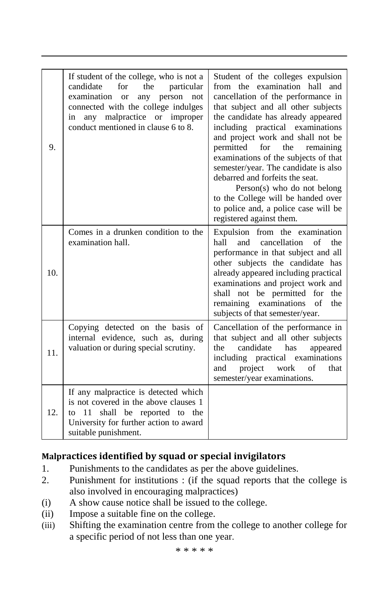| 9.  | If student of the college, who is not a<br>candidate<br>for<br>the<br>particular<br>examination<br>person<br>not<br>$\alpha$<br>any<br>connected with the college indulges<br>malpractice or improper<br>any<br>in<br>conduct mentioned in clause 6 to 8. | Student of the colleges expulsion<br>from the examination hall<br>and<br>cancellation of the performance in<br>that subject and all other subjects<br>the candidate has already appeared<br>including practical examinations<br>and project work and shall not be<br>permitted<br>for<br>the<br>remaining<br>examinations of the subjects of that<br>semester/year. The candidate is also<br>debarred and forfeits the seat.<br>$Person(s)$ who do not belong<br>to the College will be handed over<br>to police and, a police case will be<br>registered against them. |
|-----|-----------------------------------------------------------------------------------------------------------------------------------------------------------------------------------------------------------------------------------------------------------|-------------------------------------------------------------------------------------------------------------------------------------------------------------------------------------------------------------------------------------------------------------------------------------------------------------------------------------------------------------------------------------------------------------------------------------------------------------------------------------------------------------------------------------------------------------------------|
| 10. | Comes in a drunken condition to the<br>examination hall.                                                                                                                                                                                                  | Expulsion from the examination<br>and<br>hall<br>cancellation<br>of<br>the<br>performance in that subject and all<br>other subjects the candidate has<br>already appeared including practical<br>examinations and project work and<br>shall not be permitted for the<br>remaining examinations<br>of<br>the<br>subjects of that semester/year.                                                                                                                                                                                                                          |
| 11. | Copying detected on the basis of<br>internal evidence, such as, during<br>valuation or during special scrutiny.                                                                                                                                           | Cancellation of the performance in<br>that subject and all other subjects<br>candidate<br>the<br>has<br>appeared<br>including practical examinations<br>project work<br>and<br>of<br>that<br>semester/year examinations.                                                                                                                                                                                                                                                                                                                                                |
| 12. | If any malpractice is detected which<br>is not covered in the above clauses 1<br>shall be reported to the<br>11<br>to<br>University for further action to award<br>suitable punishment.                                                                   |                                                                                                                                                                                                                                                                                                                                                                                                                                                                                                                                                                         |

### **Malpractices identified by squad or special invigilators**

- 1. Punishments to the candidates as per the above guidelines.<br>2. Punishment for institutions : (if the squad reports that the
- Punishment for institutions : (if the squad reports that the college is also involved in encouraging malpractices)
- (i) A show cause notice shall be issued to the college.
- (ii) Impose a suitable fine on the college.
- (iii) Shifting the examination centre from the college to another college for a specific period of not less than one year.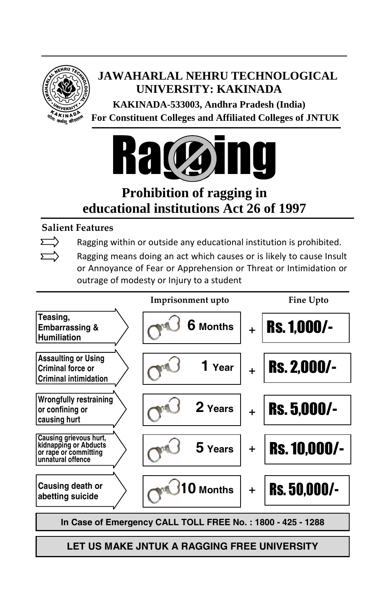

# **JAWAHARLAL NEHRU TECHNOLOGICAL UNIVERSITY: KAKINADA**

 **KAKINADA-533003, Andhra Pradesh (India) For Constituent Colleges and Affiliated Colleges of JNTUK**



# **Prohibition of ragging in educational institutions Act 26 of 1997**

### **Salient Features**

Ragging within or outside any educational institution is prohibited.

Ragging means doing an act which causes or is likely to cause Insult or Annoyance of Fear or Apprehension or Threat or Intimidation or outrage of modesty or Injury to a student



**LET US MAKE JNTUK A RAGGING FREE UNIVERSITY**